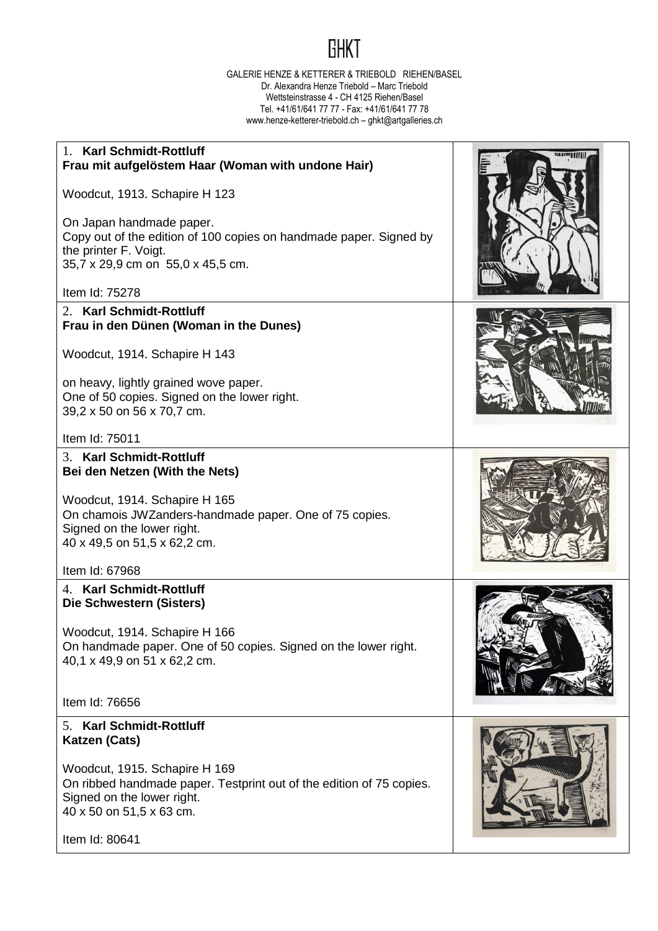## **GHKT**

GALERIE HENZE & KETTERER & TRIEBOLD RIEHEN/BASEL Dr. Alexandra Henze Triebold – Marc Triebold Wettsteinstrasse 4 - CH 4125 Riehen/Basel Tel. +41/61/641 77 77 - Fax: +41/61/641 77 78 [www.henze-ketterer-triebold.ch](http://www.henze-ketterer-triebold.ch/) – [ghkt@artgalleries.ch](mailto:ghkt@artgalleries.ch)

| $1_{\cdot}$<br><b>Karl Schmidt-Rottluff</b><br>Frau mit aufgelöstem Haar (Woman with undone Hair)                                                                                                                              | aann 1111 |
|--------------------------------------------------------------------------------------------------------------------------------------------------------------------------------------------------------------------------------|-----------|
| Woodcut, 1913. Schapire H 123<br>On Japan handmade paper.<br>Copy out of the edition of 100 copies on handmade paper. Signed by<br>the printer F. Voigt.<br>35,7 x 29,9 cm on 55,0 x 45,5 cm.                                  |           |
| Item Id: 75278                                                                                                                                                                                                                 |           |
| 2. Karl Schmidt-Rottluff<br>Frau in den Dünen (Woman in the Dunes)                                                                                                                                                             |           |
| Woodcut, 1914. Schapire H 143<br>on heavy, lightly grained wove paper.<br>One of 50 copies. Signed on the lower right.<br>39,2 x 50 on 56 x 70,7 cm.                                                                           |           |
| Item Id: 75011<br>3. Karl Schmidt-Rottluff                                                                                                                                                                                     |           |
| Bei den Netzen (With the Nets)<br>Woodcut, 1914. Schapire H 165<br>On chamois JWZanders-handmade paper. One of 75 copies.<br>Signed on the lower right.<br>40 x 49,5 on 51,5 x 62,2 cm.<br>Item Id: 67968                      |           |
| 4. Karl Schmidt-Rottluff<br>Die Schwestern (Sisters)<br>Woodcut, 1914. Schapire H 166<br>On handmade paper. One of 50 copies. Signed on the lower right.<br>40,1 x 49,9 on 51 x 62,2 cm.                                       |           |
| Item Id: 76656                                                                                                                                                                                                                 |           |
| 5. Karl Schmidt-Rottluff<br>Katzen (Cats)<br>Woodcut, 1915. Schapire H 169<br>On ribbed handmade paper. Testprint out of the edition of 75 copies.<br>Signed on the lower right.<br>40 x 50 on 51,5 x 63 cm.<br>Item Id: 80641 |           |